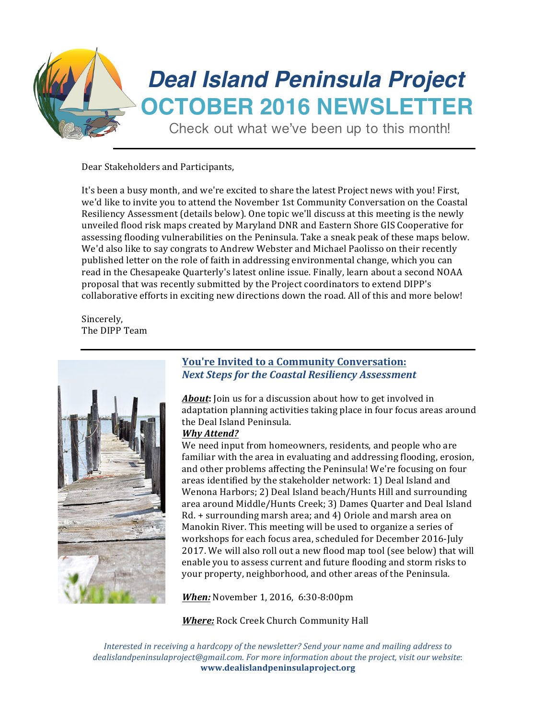

Dear Stakeholders and Participants,

It's been a busy month, and we're excited to share the latest Project news with you! First, we'd like to invite you to attend the November 1st Community Conversation on the Coastal Resiliency Assessment (details below). One topic we'll discuss at this meeting is the newly unveiled flood risk maps created by Maryland DNR and Eastern Shore GIS Cooperative for assessing flooding vulnerabilities on the Peninsula. Take a sneak peak of these maps below. We'd also like to say congrats to Andrew Webster and Michael Paolisso on their recently published letter on the role of faith in addressing environmental change, which you can read in the Chesapeake Quarterly's latest online issue. Finally, learn about a second NOAA proposal that was recently submitted by the Project coordinators to extend DIPP's collaborative efforts in exciting new directions down the road. All of this and more below!

Sincerely, The DIPP Team



### **You're Invited to a Community Conversation:** *Next Steps for the Coastal Resiliency Assessment*

**About:** Join us for a discussion about how to get involved in adaptation planning activities taking place in four focus areas around the Deal Island Peninsula.

#### *Why Attend?*

We need input from homeowners, residents, and people who are familiar with the area in evaluating and addressing flooding, erosion, and other problems affecting the Peninsula! We're focusing on four areas identified by the stakeholder network: 1) Deal Island and Wenona Harbors; 2) Deal Island beach/Hunts Hill and surrounding area around Middle/Hunts Creek; 3) Dames Quarter and Deal Island  $Rd. +$  surrounding marsh area; and 4) Oriole and marsh area on Manokin River. This meeting will be used to organize a series of workshops for each focus area, scheduled for December 2016-July 2017. We will also roll out a new flood map tool (see below) that will enable you to assess current and future flooding and storm risks to your property, neighborhood, and other areas of the Peninsula.

*When:* November 1, 2016, 6:30-8:00pm

**Where:** Rock Creek Church Community Hall

*Interested in receiving a hardcopy of the newsletter?* Send your name and mailing address to dealislandpeninsulaproject@gmail.com. For more information about the project, visit our website: **www.dealislandpeninsulaproject.org**